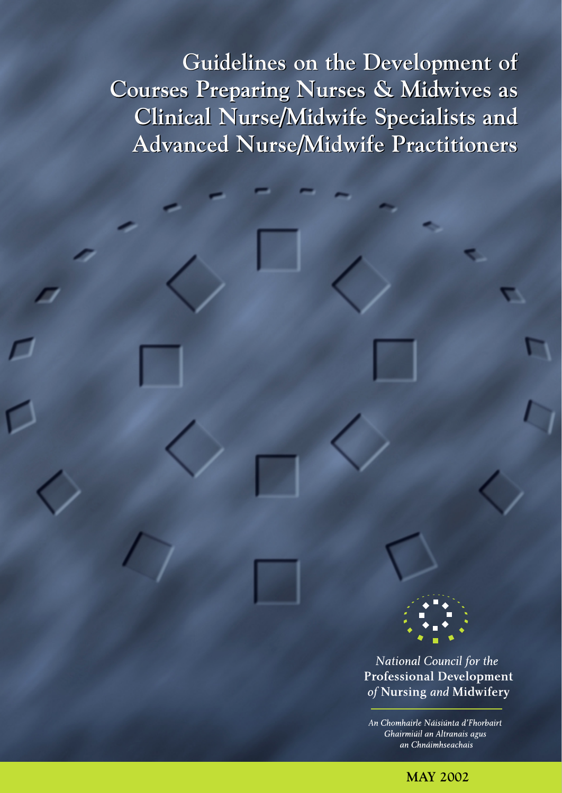**Guidelines on the Development of Guidelines on the Development of Courses Preparing Nurses & Midwives as Courses Preparing Nurses & Midwives as Clinical Nurse/Midwife Specialists and Clinical Nurse/Midwife Specialists and Advanced Nurse/Midwife Practitioners Advanced Nurse/Midwife Practitioners**

> **National Council for the Professional Development** of Nursing and Midwifery

An Chomhairle Náisiúnta d'Fhorbairt Ghairmiúil an Altranais agus an Chnáimhseachais

**MAY 2002**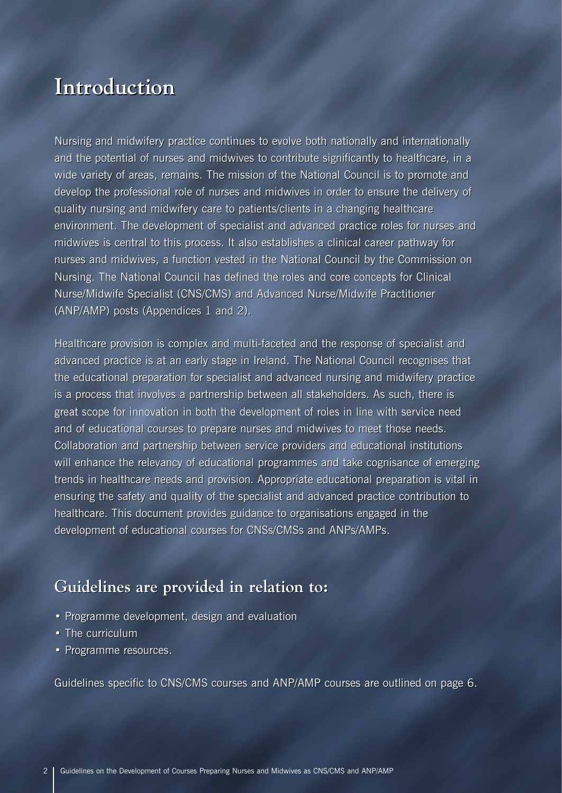### **Introduction Introduction**

Nursing and midwifery practice continues to evolve both nationally and internationally Nursing and midwifery practice continues to evolve both nationally and internationally and the potential of nurses and midwives to contribute significantly to healthcare, in a and the potential of nurses and midwives to contribute significantly to healthcare, in a wide variety of areas, remains. The mission of the National Council is to promote and develop the professional role of nurses and midwives in order to ensure the delivery of quality nursing and midwifery care to patients/clients in a changing healthcare wide variety of areas, remains. The mission of the National Council is to promote and<br>develop the professional role of nurses and midwives in order to ensure the delivery of<br>quality nursing and midwifery care to patients/c midwives is central to this process. It also establishes a clinical career pathway for midwives is central to this process. It also establishes a clinical career pathway for nurses and midwives, a function vested in the National Council by the Commission on nurses and midwives, a function vested in the National Council by the Commission on Nursing. The National Council has defined the roles and core concepts for Clinical Nursing. The National Council has defined the roles and core concepts for Clinical<br>Nurse/Midwife Specialist (CNS/CMS) and Advanced Nurse/Midwife Practitioner (ANP/AMP) posts (Appendices 1 and 2).

Healthcare provision is complex and multi-faceted and the response of specialist and advanced practice is at an early stage in Ireland. The National Council recognises that (ANP/AMP) posts (Appendices 1 and 2).<br>Healthcare provision is complex and multi-faceted and the response of specialist and<br>advanced practice is at an early stage in Ireland. The National Council recognises that<br>the educati is a process that involves a partnership between all stakeholders. As such, there is is a process that involves a partnership between all stakeholders. As such, there is great scope for innovation in both the development of roles in line with service need great scope for innovation in both the development of roles in line with service need<br>and of educational courses to prepare nurses and midwives to meet those needs. Collaboration and partnership between service providers and educational institutions Collaboration and partnership between service providers and educational institutions will enhance the relevancy of educational programmes and take cognisance of emerging trends in healthcare needs and provision. Appropriate educational preparation is vital in ensuring the safety and quality of the specialist and advanced practice contribution to healthcare. This document provides guidance to organisations engaged in the healthcare. This document provides guidance to organisations engaged in the development of educational courses for CNSs/CMSs and ANPs/AMPs. development of educational courses for CNSs/CMSs and ANPs/AMPs.will enhance the relevancy of educational programmes and take cognisance of emerging<br>trends in healthcare needs and provision. Appropriate educational preparation is vital in<br>ensuring the safety and quality of the speciali

#### **Guidelines are provided in relation to: Guidelines are provided in relation to:**

- Programme development, design and evaluation Programme development, design and evaluation• The curriculum
- The curriculum
- Programme resources. Programme resources.

Guidelines specific to CNS/CMS courses and ANP/AMP courses are outlined on page 6. Guidelines specific to CNS/CMS courses and ANP/AMP courses are outlined on page 6.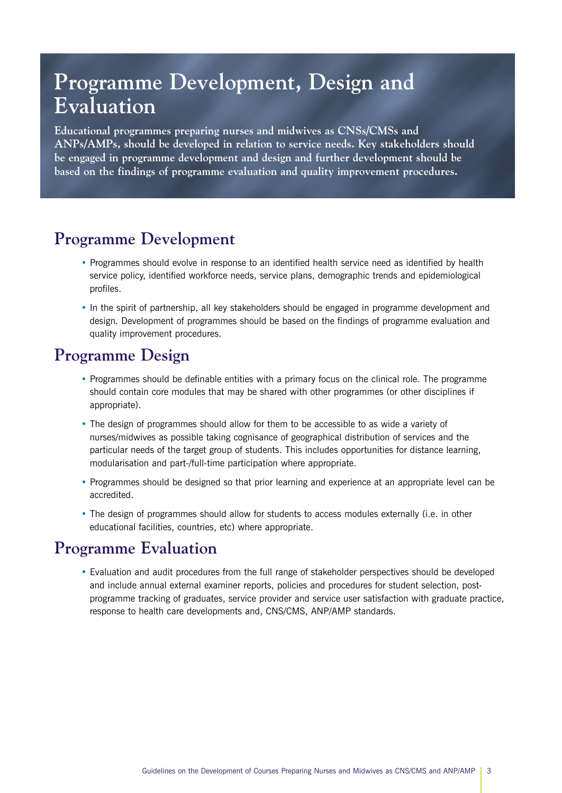### **Programme Development, Design and Evaluation**

**Educational programmes preparing nurses and midwives as CNSs/CMSs and ANPs/AMPs, should be developed in relation to service needs. Key stakeholders should be engaged in programme development and design and further development should be based on the findings of programme evaluation and quality improvement procedures.**

#### **Programme Development**

- Programmes should evolve in response to an identified health service need as identified by health service policy, identified workforce needs, service plans, demographic trends and epidemiological profiles.
- In the spirit of partnership, all key stakeholders should be engaged in programme development and design. Development of programmes should be based on the findings of programme evaluation and quality improvement procedures.

#### **Programme Design**

- Programmes should be definable entities with a primary focus on the clinical role. The programme should contain core modules that may be shared with other programmes (or other disciplines if appropriate).
- The design of programmes should allow for them to be accessible to as wide a variety of nurses/midwives as possible taking cognisance of geographical distribution of services and the particular needs of the target group of students. This includes opportunities for distance learning, modularisation and part-/full-time participation where appropriate.
- Programmes should be designed so that prior learning and experience at an appropriate level can be accredited.
- The design of programmes should allow for students to access modules externally (i.e. in other educational facilities, countries, etc) where appropriate.

### **Programme Evaluation**

• Evaluation and audit procedures from the full range of stakeholder perspectives should be developed and include annual external examiner reports, policies and procedures for student selection, postprogramme tracking of graduates, service provider and service user satisfaction with graduate practice, response to health care developments and, CNS/CMS, ANP/AMP standards.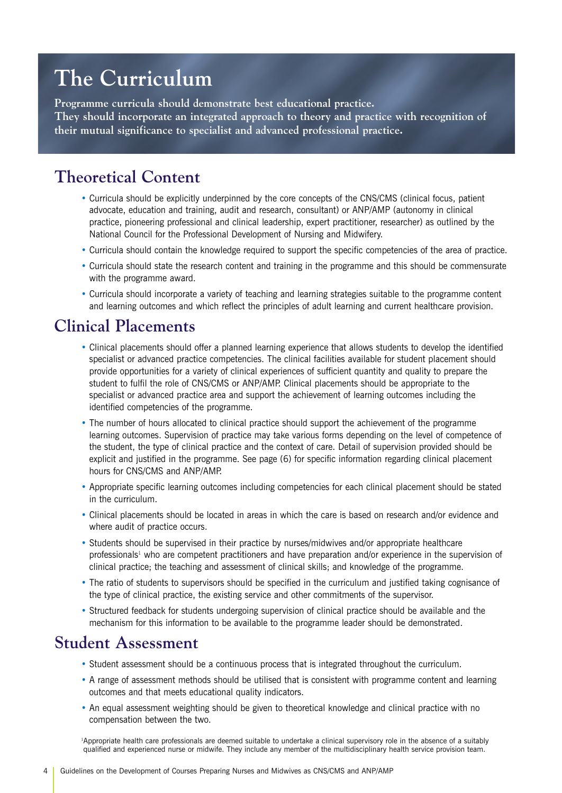# **The Curriculum**

**Programme curricula should demonstrate best educational practice. They should incorporate an integrated approach to theory and practice with recognition of their mutual significance to specialist and advanced professional practice.** 

### **Theoretical Content**

- Curricula should be explicitly underpinned by the core concepts of the CNS/CMS (clinical focus, patient advocate, education and training, audit and research, consultant) or ANP/AMP (autonomy in clinical practice, pioneering professional and clinical leadership, expert practitioner, researcher) as outlined by the National Council for the Professional Development of Nursing and Midwifery.
- Curricula should contain the knowledge required to support the specific competencies of the area of practice.
- Curricula should state the research content and training in the programme and this should be commensurate with the programme award.
- Curricula should incorporate a variety of teaching and learning strategies suitable to the programme content and learning outcomes and which reflect the principles of adult learning and current healthcare provision.

#### **Clinical Placements**

- Clinical placements should offer a planned learning experience that allows students to develop the identified specialist or advanced practice competencies. The clinical facilities available for student placement should provide opportunities for a variety of clinical experiences of sufficient quantity and quality to prepare the student to fulfil the role of CNS/CMS or ANP/AMP. Clinical placements should be appropriate to the specialist or advanced practice area and support the achievement of learning outcomes including the identified competencies of the programme.
- The number of hours allocated to clinical practice should support the achievement of the programme learning outcomes. Supervision of practice may take various forms depending on the level of competence of the student, the type of clinical practice and the context of care. Detail of supervision provided should be explicit and justified in the programme. See page (6) for specific information regarding clinical placement hours for CNS/CMS and ANP/AMP.
- Appropriate specific learning outcomes including competencies for each clinical placement should be stated in the curriculum.
- Clinical placements should be located in areas in which the care is based on research and/or evidence and where audit of practice occurs.
- Students should be supervised in their practice by nurses/midwives and/or appropriate healthcare professionals<sup>1</sup> who are competent practitioners and have preparation and/or experience in the supervision of clinical practice; the teaching and assessment of clinical skills; and knowledge of the programme.
- The ratio of students to supervisors should be specified in the curriculum and justified taking cognisance of the type of clinical practice, the existing service and other commitments of the supervisor.
- Structured feedback for students undergoing supervision of clinical practice should be available and the mechanism for this information to be available to the programme leader should be demonstrated.

### **Student Assessment**

- Student assessment should be a continuous process that is integrated throughout the curriculum.
- A range of assessment methods should be utilised that is consistent with programme content and learning outcomes and that meets educational quality indicators.
- An equal assessment weighting should be given to theoretical knowledge and clinical practice with no compensation between the two.

1 Appropriate health care professionals are deemed suitable to undertake a clinical supervisory role in the absence of a suitably qualified and experienced nurse or midwife. They include any member of the multidisciplinary health service provision team.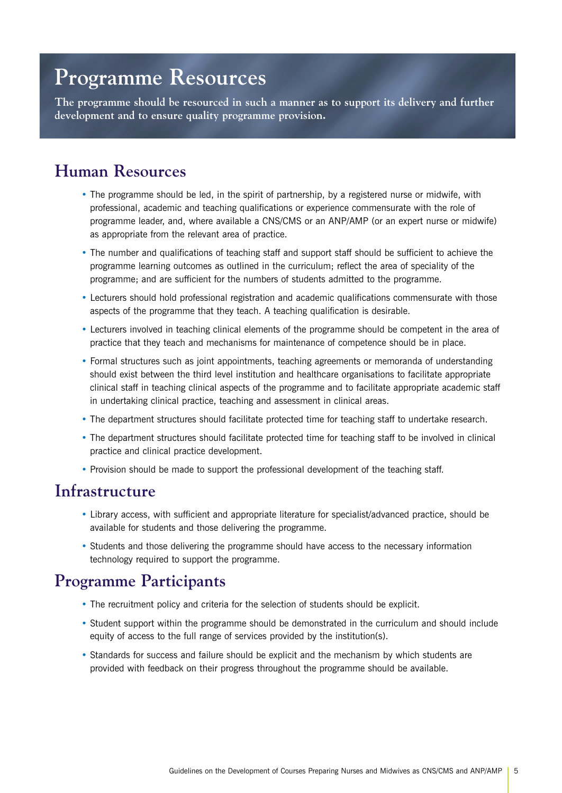### **Programme Resources**

**The programme should be resourced in such a manner as to support its delivery and further development and to ensure quality programme provision.**

#### **Human Resources**

- The programme should be led, in the spirit of partnership, by a registered nurse or midwife, with professional, academic and teaching qualifications or experience commensurate with the role of programme leader, and, where available a CNS/CMS or an ANP/AMP (or an expert nurse or midwife) as appropriate from the relevant area of practice.
- The number and qualifications of teaching staff and support staff should be sufficient to achieve the programme learning outcomes as outlined in the curriculum; reflect the area of speciality of the programme; and are sufficient for the numbers of students admitted to the programme.
- Lecturers should hold professional registration and academic qualifications commensurate with those aspects of the programme that they teach. A teaching qualification is desirable.
- Lecturers involved in teaching clinical elements of the programme should be competent in the area of practice that they teach and mechanisms for maintenance of competence should be in place.
- Formal structures such as joint appointments, teaching agreements or memoranda of understanding should exist between the third level institution and healthcare organisations to facilitate appropriate clinical staff in teaching clinical aspects of the programme and to facilitate appropriate academic staff in undertaking clinical practice, teaching and assessment in clinical areas.
- The department structures should facilitate protected time for teaching staff to undertake research.
- The department structures should facilitate protected time for teaching staff to be involved in clinical practice and clinical practice development.
- Provision should be made to support the professional development of the teaching staff.

#### **Infrastructure**

- Library access, with sufficient and appropriate literature for specialist/advanced practice, should be available for students and those delivering the programme.
- Students and those delivering the programme should have access to the necessary information technology required to support the programme.

#### **Programme Participants**

- The recruitment policy and criteria for the selection of students should be explicit.
- Student support within the programme should be demonstrated in the curriculum and should include equity of access to the full range of services provided by the institution(s).
- Standards for success and failure should be explicit and the mechanism by which students are provided with feedback on their progress throughout the programme should be available.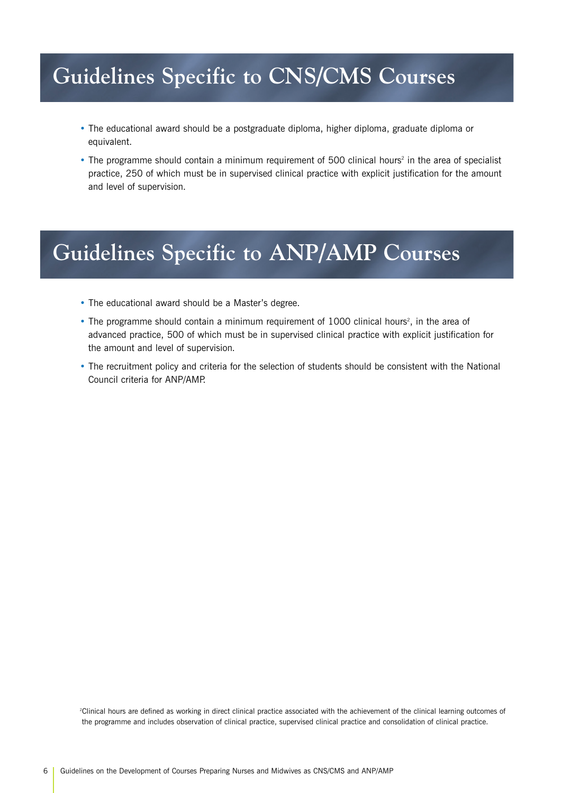## **Guidelines Specific to CNS/CMS Courses**

- The educational award should be a postgraduate diploma, higher diploma, graduate diploma or equivalent.
- The programme should contain a minimum requirement of 500 clinical hours<sup>2</sup> in the area of specialist practice, 250 of which must be in supervised clinical practice with explicit justification for the amount and level of supervision.

## **Guidelines Specific to ANP/AMP Courses**

- The educational award should be a Master's degree.
- The programme should contain a minimum requirement of 1000 clinical hours<sup>2</sup>, in the area of advanced practice, 500 of which must be in supervised clinical practice with explicit justification for the amount and level of supervision.
- The recruitment policy and criteria for the selection of students should be consistent with the National Council criteria for ANP/AMP.

2 Clinical hours are defined as working in direct clinical practice associated with the achievement of the clinical learning outcomes of the programme and includes observation of clinical practice, supervised clinical practice and consolidation of clinical practice.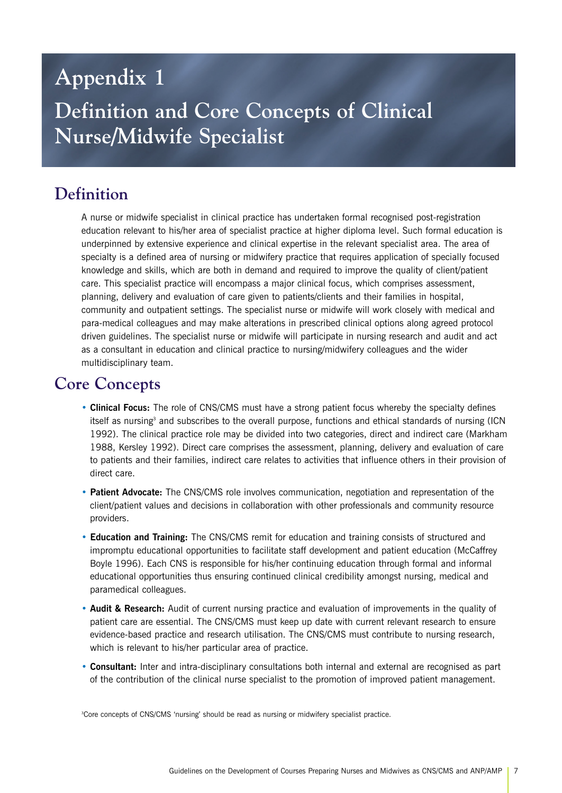### **Appendix 1**

### **Definition and Core Concepts of Clinical Nurse/Midwife Specialist**

### **Definition**

A nurse or midwife specialist in clinical practice has undertaken formal recognised post-registration education relevant to his/her area of specialist practice at higher diploma level. Such formal education is underpinned by extensive experience and clinical expertise in the relevant specialist area. The area of specialty is a defined area of nursing or midwifery practice that requires application of specially focused knowledge and skills, which are both in demand and required to improve the quality of client/patient care. This specialist practice will encompass a major clinical focus, which comprises assessment, planning, delivery and evaluation of care given to patients/clients and their families in hospital, community and outpatient settings. The specialist nurse or midwife will work closely with medical and para-medical colleagues and may make alterations in prescribed clinical options along agreed protocol driven guidelines. The specialist nurse or midwife will participate in nursing research and audit and act as a consultant in education and clinical practice to nursing/midwifery colleagues and the wider multidisciplinary team.

#### **Core Concepts**

- **Clinical Focus:** The role of CNS/CMS must have a strong patient focus whereby the specialty defines itself as nursing<sup>3</sup> and subscribes to the overall purpose, functions and ethical standards of nursing (ICN 1992). The clinical practice role may be divided into two categories, direct and indirect care (Markham 1988, Kersley 1992). Direct care comprises the assessment, planning, delivery and evaluation of care to patients and their families, indirect care relates to activities that influence others in their provision of direct care.
- **Patient Advocate:** The CNS/CMS role involves communication, negotiation and representation of the client/patient values and decisions in collaboration with other professionals and community resource providers.
- **Education and Training:** The CNS/CMS remit for education and training consists of structured and impromptu educational opportunities to facilitate staff development and patient education (McCaffrey Boyle 1996). Each CNS is responsible for his/her continuing education through formal and informal educational opportunities thus ensuring continued clinical credibility amongst nursing, medical and paramedical colleagues.
- **Audit & Research:** Audit of current nursing practice and evaluation of improvements in the quality of patient care are essential. The CNS/CMS must keep up date with current relevant research to ensure evidence-based practice and research utilisation. The CNS/CMS must contribute to nursing research, which is relevant to his/her particular area of practice.
- **Consultant:** Inter and intra-disciplinary consultations both internal and external are recognised as part of the contribution of the clinical nurse specialist to the promotion of improved patient management.

3 Core concepts of CNS/CMS 'nursing' should be read as nursing or midwifery specialist practice.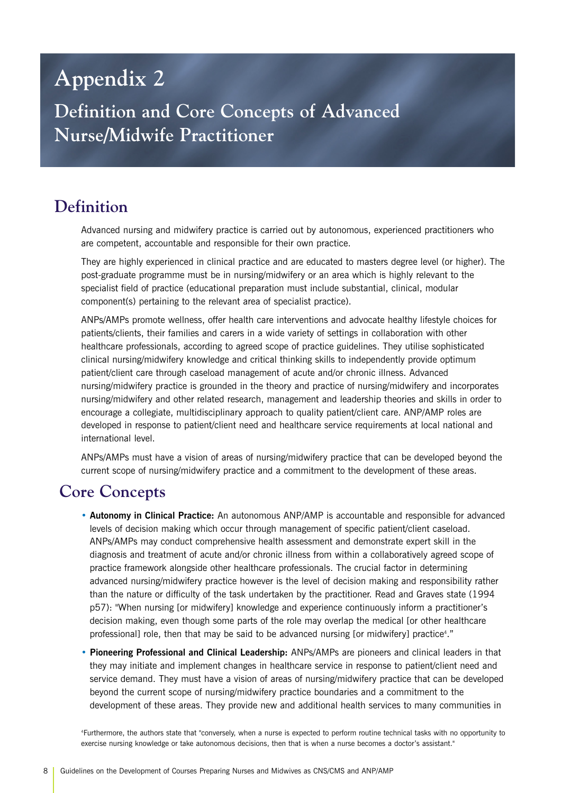### **Appendix 2**

**Definition and Core Concepts of Advanced Nurse/Midwife Practitioner**

### **Definition**

Advanced nursing and midwifery practice is carried out by autonomous, experienced practitioners who are competent, accountable and responsible for their own practice.

They are highly experienced in clinical practice and are educated to masters degree level (or higher). The post-graduate programme must be in nursing/midwifery or an area which is highly relevant to the specialist field of practice (educational preparation must include substantial, clinical, modular component(s) pertaining to the relevant area of specialist practice).

ANPs/AMPs promote wellness, offer health care interventions and advocate healthy lifestyle choices for patients/clients, their families and carers in a wide variety of settings in collaboration with other healthcare professionals, according to agreed scope of practice guidelines. They utilise sophisticated clinical nursing/midwifery knowledge and critical thinking skills to independently provide optimum patient/client care through caseload management of acute and/or chronic illness. Advanced nursing/midwifery practice is grounded in the theory and practice of nursing/midwifery and incorporates nursing/midwifery and other related research, management and leadership theories and skills in order to encourage a collegiate, multidisciplinary approach to quality patient/client care. ANP/AMP roles are developed in response to patient/client need and healthcare service requirements at local national and international level.

ANPs/AMPs must have a vision of areas of nursing/midwifery practice that can be developed beyond the current scope of nursing/midwifery practice and a commitment to the development of these areas.

### **Core Concepts**

- **Autonomy in Clinical Practice:** An autonomous ANP/AMP is accountable and responsible for advanced levels of decision making which occur through management of specific patient/client caseload. ANPs/AMPs may conduct comprehensive health assessment and demonstrate expert skill in the diagnosis and treatment of acute and/or chronic illness from within a collaboratively agreed scope of practice framework alongside other healthcare professionals. The crucial factor in determining advanced nursing/midwifery practice however is the level of decision making and responsibility rather than the nature or difficulty of the task undertaken by the practitioner. Read and Graves state (1994 p57): "When nursing [or midwifery] knowledge and experience continuously inform a practitioner's decision making, even though some parts of the role may overlap the medical [or other healthcare professional] role, then that may be said to be advanced nursing [or midwifery] practice<sup>4</sup>."
- **Pioneering Professional and Clinical Leadership:** ANPs/AMPs are pioneers and clinical leaders in that they may initiate and implement changes in healthcare service in response to patient/client need and service demand. They must have a vision of areas of nursing/midwifery practice that can be developed beyond the current scope of nursing/midwifery practice boundaries and a commitment to the development of these areas. They provide new and additional health services to many communities in

4 Furthermore, the authors state that "conversely, when a nurse is expected to perform routine technical tasks with no opportunity to exercise nursing knowledge or take autonomous decisions, then that is when a nurse becomes a doctor's assistant."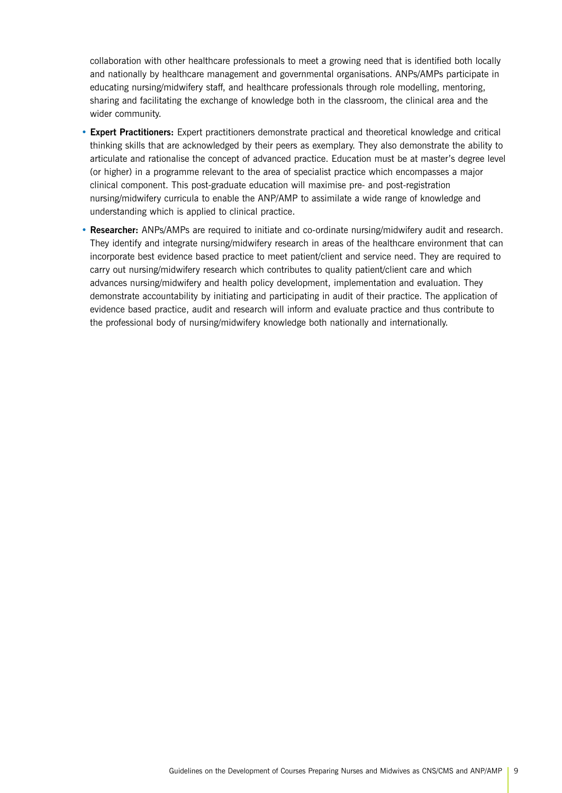collaboration with other healthcare professionals to meet a growing need that is identified both locally and nationally by healthcare management and governmental organisations. ANPs/AMPs participate in educating nursing/midwifery staff, and healthcare professionals through role modelling, mentoring, sharing and facilitating the exchange of knowledge both in the classroom, the clinical area and the wider community.

- **Expert Practitioners:** Expert practitioners demonstrate practical and theoretical knowledge and critical thinking skills that are acknowledged by their peers as exemplary. They also demonstrate the ability to articulate and rationalise the concept of advanced practice. Education must be at master's degree level (or higher) in a programme relevant to the area of specialist practice which encompasses a major clinical component. This post-graduate education will maximise pre- and post-registration nursing/midwifery curricula to enable the ANP/AMP to assimilate a wide range of knowledge and understanding which is applied to clinical practice.
- **Researcher:** ANPs/AMPs are required to initiate and co-ordinate nursing/midwifery audit and research. They identify and integrate nursing/midwifery research in areas of the healthcare environment that can incorporate best evidence based practice to meet patient/client and service need. They are required to carry out nursing/midwifery research which contributes to quality patient/client care and which advances nursing/midwifery and health policy development, implementation and evaluation. They demonstrate accountability by initiating and participating in audit of their practice. The application of evidence based practice, audit and research will inform and evaluate practice and thus contribute to the professional body of nursing/midwifery knowledge both nationally and internationally.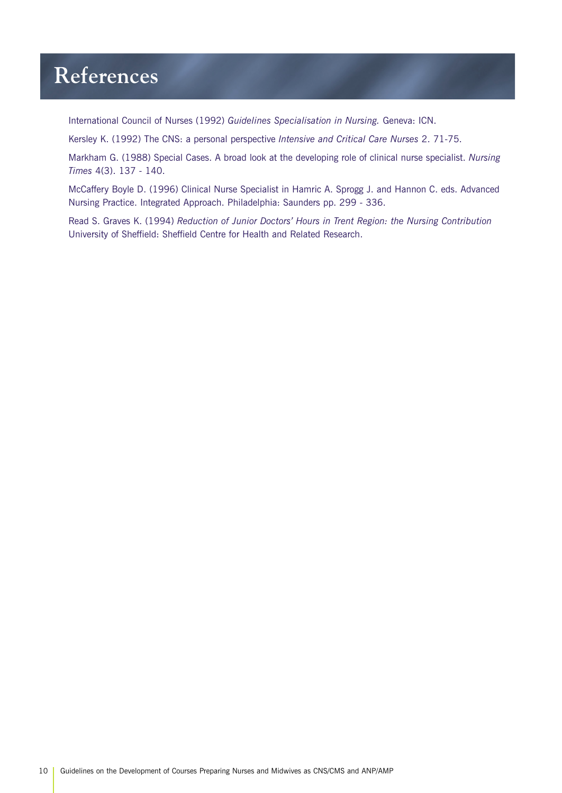### **References**

International Council of Nurses (1992) *Guidelines Specialisation in Nursing.* Geneva: ICN.

Kersley K. (1992) The CNS: a personal perspective *Intensive and Critical Care Nurses* 2. 71-75.

Markham G. (1988) Special Cases. A broad look at the developing role of clinical nurse specialist. *Nursing Times* 4(3). 137 - 140.

McCaffery Boyle D. (1996) Clinical Nurse Specialist in Hamric A. Sprogg J. and Hannon C. eds. Advanced Nursing Practice. Integrated Approach. Philadelphia: Saunders pp. 299 - 336.

Read S. Graves K. (1994) *Reduction of Junior Doctors' Hours in Trent Region: the Nursing Contribution* University of Sheffield: Sheffield Centre for Health and Related Research.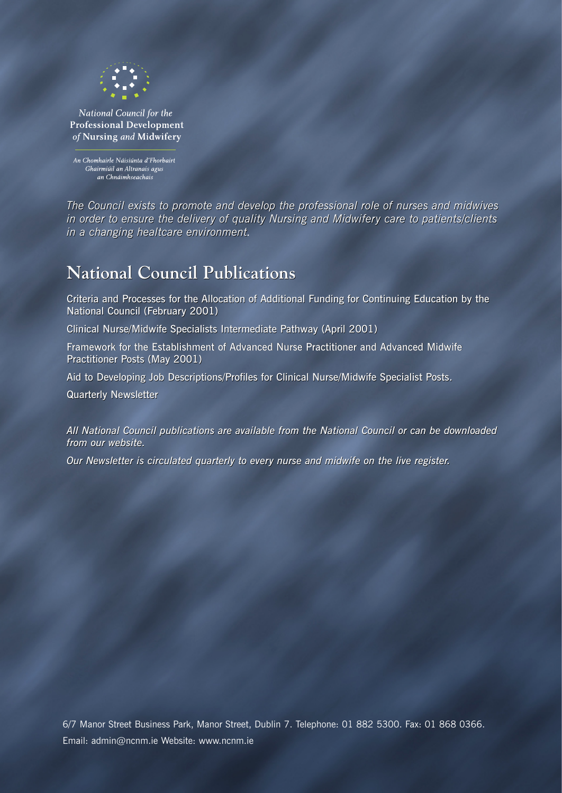

National Council for the **Professional Development** of Nursing and Midwifery

An Chomhairle Náisiúnta d'Fhorbairt Ghairmiúil an Altranais agus an Chnáimhseachais

*The Council exists to promote and develop the professional role of nurses and midwives Council to and develop the of nurses midwives in order to ensure the delivery of quality Nursing and Midwifery care to patients/clients in to ensure delivery of quality Nursing and Midwifery care to in a changing healtcare environment in a changing healtcare environment.*

### **National Council Publications Council Publications**

Criteria and Processes for the Allocation of Additional Funding for Continuing Education by the<br>National Council (February 2001) National Council (February 2001)

Clinical Nurse/Midwife Specialists Intermediate Pathway (April 2001)

Framework for the Establishment of Advanced Nurse Practitioner and Advanced Midwife Practitioner Posts (May 2001) Clinical Nurse/Midwife Specialists Intermediate Pathway (April 2001)<br>Framework for the Establishment of Advanced Nurse Practitioner and Advanced Midwife<br>Practitioner Posts (May 2001)<br>Aid to Developing Job Descriptions/Prof

Aid to Developing Job Descriptions/Profiles for Clinical Nurse/Midwife Specialist Posts.

Quarterly Newsletter Quarterly Newsletter

*All National Council publications are available from the National Council or can be downloaded National Council are from the National or be from our website. our website.* 

*Our Newsletter is circulated quarterly to every nurse and midwife on the live register. Newsletter is circulated quarterly every and midwife the live register.*